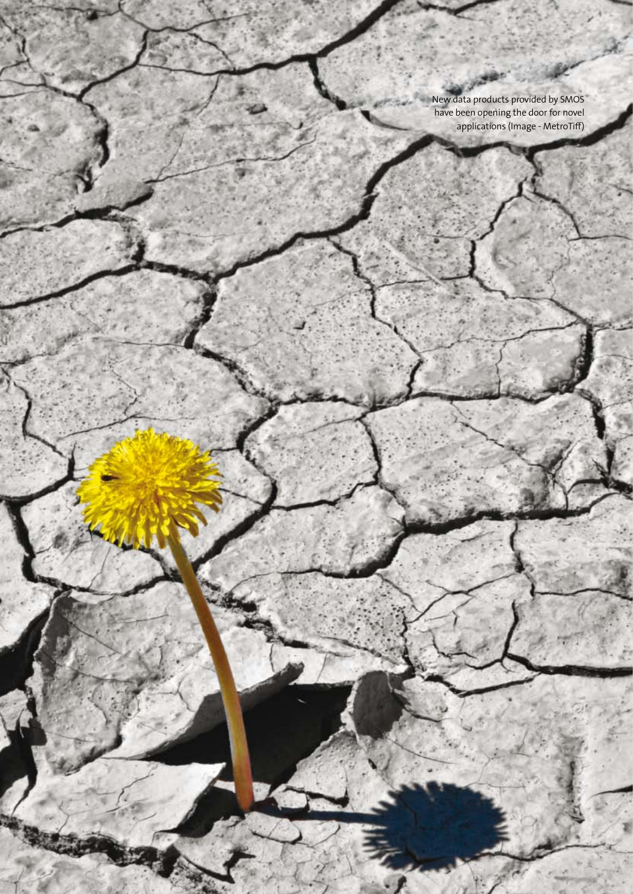New data products provided by SMOS have been opening the door for novel applications (Image - MetroTiff)

**38** www.esa.int **earth observation**

Y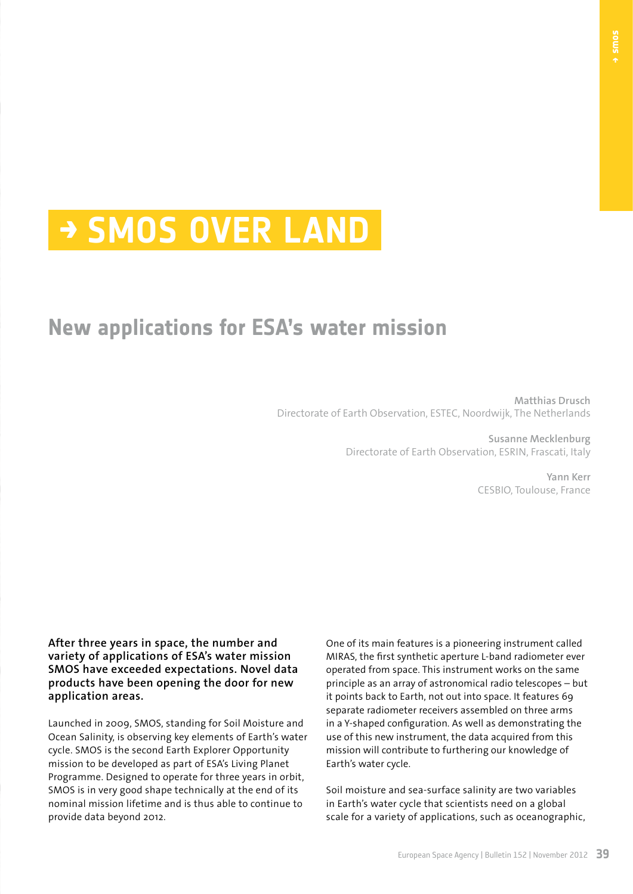# **→ SMOS over land**

## **New applications for ESA's water mission**

**Matthias Drusch** Directorate of Earth Observation, ESTEC, Noordwijk, The Netherlands

> **Susanne Mecklenburg** Directorate of Earth Observation, ESRIN, Frascati, Italy

> > **Yann Kerr** CESBIO, Toulouse, France

**After three years in space, the number and variety of applications of ESA's water mission SMOS have exceeded expectations. Novel data products have been opening the door for new application areas.**

Launched in 2009, SMOS, standing for Soil Moisture and Ocean Salinity, is observing key elements of Earth's water cycle. SMOS is the second Earth Explorer Opportunity mission to be developed as part of ESA's Living Planet Programme. Designed to operate for three years in orbit, SMOS is in very good shape technically at the end of its nominal mission lifetime and is thus able to continue to provide data beyond 2012.

One of its main features is a pioneering instrument called MIRAS, the first synthetic aperture L-band radiometer ever operated from space. This instrument works on the same principle as an array of astronomical radio telescopes – but it points back to Earth, not out into space. It features 69 separate radiometer receivers assembled on three arms in a Y-shaped configuration. As well as demonstrating the use of this new instrument, the data acquired from this mission will contribute to furthering our knowledge of Earth's water cycle.

Soil moisture and sea-surface salinity are two variables in Earth's water cycle that scientists need on a global scale for a variety of applications, such as oceanographic,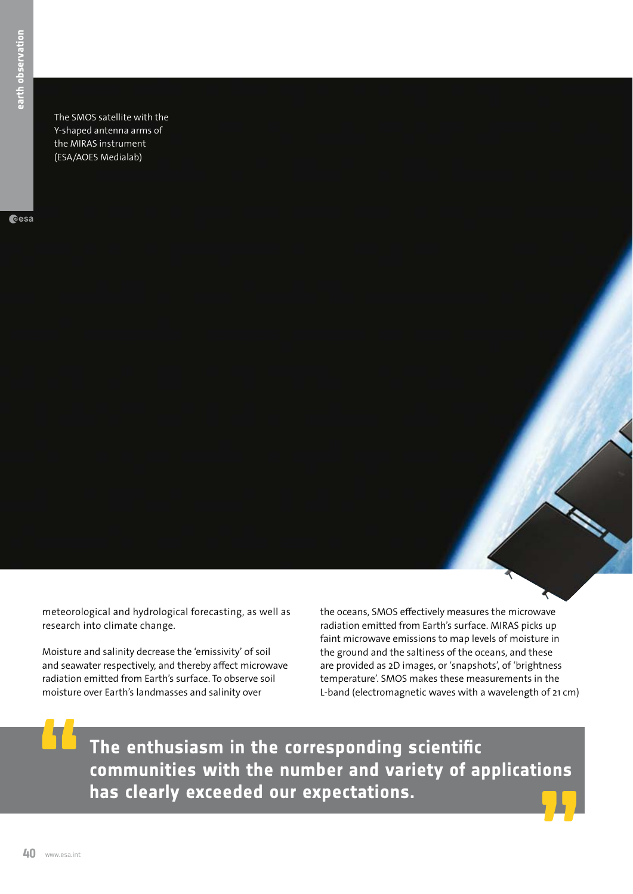The SMOS satellite with the Y-shaped antenna arms of the MIRAS instrument (ESA/AOES Medialab)

cesa

meteorological and hydrological forecasting, as well as research into climate change.

**40** www.esa.int **earth observation** Moisture and salinity decrease the 'emissivity' of soil and seawater respectively, and thereby affect microwave radiation emitted from Earth's surface. To observe soil moisture over Earth's landmasses and salinity over

the oceans, SMOS effectively measures the microwave radiation emitted from Earth's surface. MIRAS picks up faint microwave emissions to map levels of moisture in the ground and the saltiness of the oceans, and these are provided as 2D images, or 'snapshots', of 'brightness temperature'. SMOS makes these measurements in the L-band (electromagnetic waves with a wavelength of 21 cm)

**The enthusiasm in the corresponding scientific communities with the number and variety of applications has clearly exceeded our expectations.**

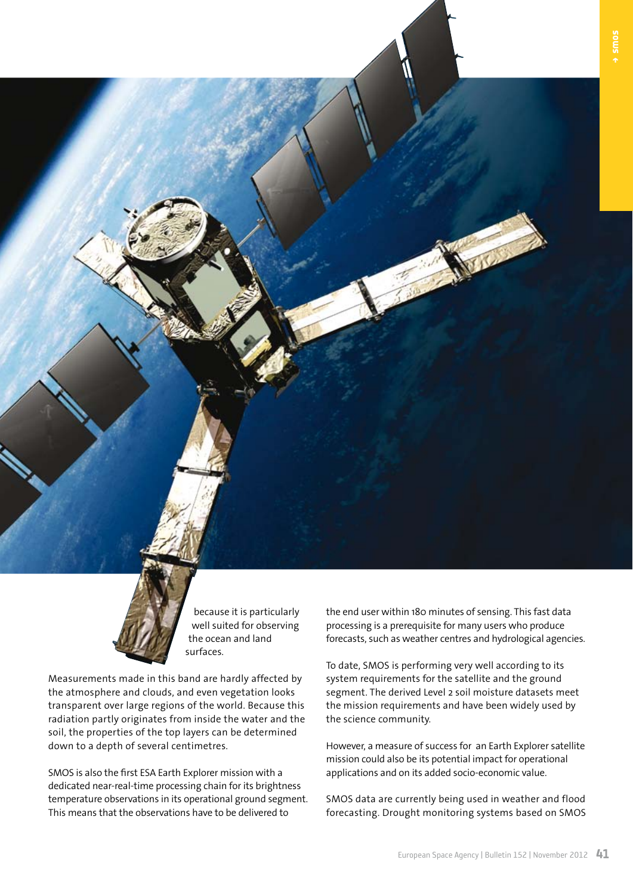

because it is particularly well suited for observing the ocean and land surfaces.

Measurements made in this band are hardly affected by the atmosphere and clouds, and even vegetation looks transparent over large regions of the world. Because this radiation partly originates from inside the water and the soil, the properties of the top layers can be determined down to a depth of several centimetres.

SMOS is also the first ESA Earth Explorer mission with a dedicated near-real-time processing chain for its brightness temperature observations in its operational ground segment. This means that the observations have to be delivered to

the end user within 180 minutes of sensing. This fast data processing is a prerequisite for many users who produce forecasts, such as weather centres and hydrological agencies.

NE.

To date, SMOS is performing very well according to its system requirements for the satellite and the ground segment. The derived Level 2 soil moisture datasets meet the mission requirements and have been widely used by the science community.

However, a measure of success for an Earth Explorer satellite mission could also be its potential impact for operational applications and on its added socio-economic value.

SMOS data are currently being used in weather and flood forecasting. Drought monitoring systems based on SMOS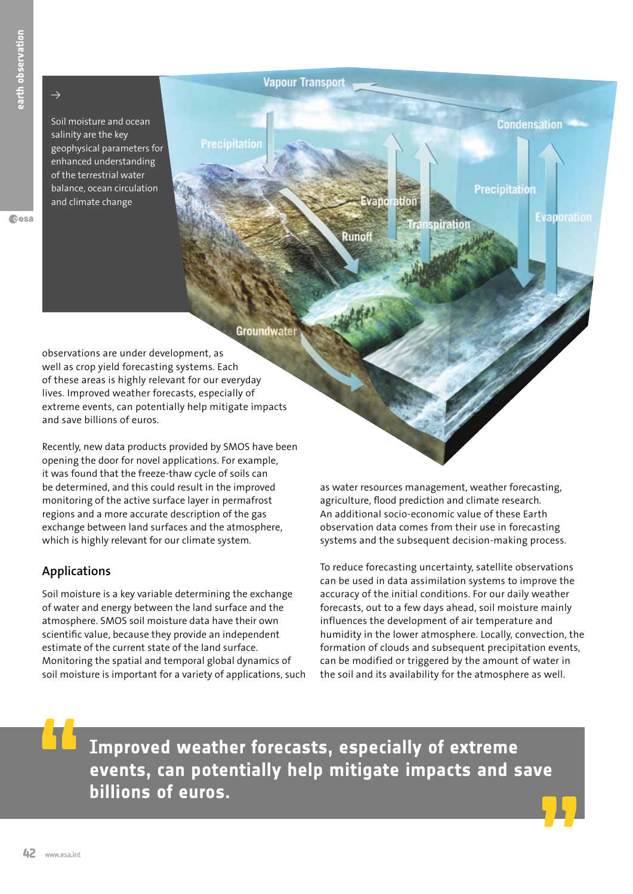$\rightarrow$ 

Soil moisture and ocean salinity are the key geophysical parameters for enhanced understanding of the terrestrial water balance, ocean circulation and climate change

**Vapour Transport** 

#### **Condensation**

**Evaporation** 

**Precipitation** 

Groundwater

**Precipitation** 

observations are under development, as well as crop yield forecasting systems. Each of these areas is highly relevant for our everyday lives. Improved weather forecasts, especially of extreme events, can potentially help mitigate impacts and save billions of euros.

**42** www.esa.int<br> **42** www.esa.int<br> **42** www.esa.int<br> **42** www.esa.int<br> **42** www.esa.int<br> **42** www.esa.int<br> **42** www.esa.int<br> **42** www.esa.int<br> **42** www.esa.int<br> **42** www.esa.int<br> **42** www.esa.int<br> **42** www.esa.int<br> **42** w Recently, new data products provided by SMOS have been opening the door for novel applications. For example, it was found that the freeze-thaw cycle of soils can be determined, and this could result in the improved monitoring of the active surface layer in permafrost regions and a more accurate description of the gas exchange between land surfaces and the atmosphere, which is highly relevant for our climate system.

#### **Applications**

Soil moisture is a key variable determining the exchange of water and energy between the land surface and the atmosphere. SMOS soil moisture data have their own scientific value, because they provide an independent estimate of the current state of the land surface. Monitoring the spatial and temporal global dynamics of soil moisture is important for a variety of applications, such

as water resources management, weather forecasting, agriculture, flood prediction and climate research. An additional socio-economic value of these Earth observation data comes from their use in forecasting systems and the subsequent decision-making process.

Hon

Runoff

spiration

To reduce forecasting uncertainty, satellite observations can be used in data assimilation systems to improve the accuracy of the initial conditions. For our daily weather forecasts, out to a few days ahead, soil moisture mainly influences the development of air temperature and humidity in the lower atmosphere. Locally, convection, the formation of clouds and subsequent precipitation events, can be modified or triggered by the amount of water in the soil and its availability for the atmosphere as well.

**Improved weather forecasts, especially of extreme events, can potentially help mitigate impacts and save billions of euros.**

Cesa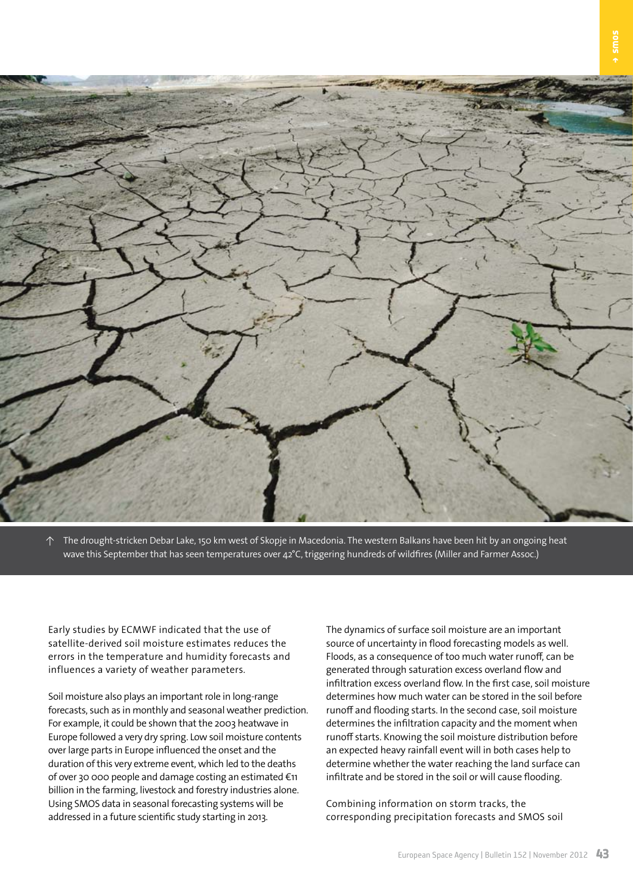

↑ The drought-stricken Debar Lake, 150 km west of Skopje in Macedonia. The western Balkans have been hit by an ongoing heat wave this September that has seen temperatures over 42°C, triggering hundreds of wildfires (Miller and Farmer Assoc.)

Early studies by ECMWF indicated that the use of satellite-derived soil moisture estimates reduces the errors in the temperature and humidity forecasts and influences a variety of weather parameters.

Soil moisture also plays an important role in long-range forecasts, such as in monthly and seasonal weather prediction. For example, it could be shown that the 2003 heatwave in Europe followed a very dry spring. Low soil moisture contents over large parts in Europe influenced the onset and the duration of this very extreme event, which led to the deaths of over 30 000 people and damage costing an estimated €11 billion in the farming, livestock and forestry industries alone. Using SMOS data in seasonal forecasting systems will be addressed in a future scientific study starting in 2013.

The dynamics of surface soil moisture are an important source of uncertainty in flood forecasting models as well. Floods, as a consequence of too much water runoff, can be generated through saturation excess overland flow and infiltration excess overland flow. In the first case, soil moisture determines how much water can be stored in the soil before runoff and flooding starts. In the second case, soil moisture determines the infiltration capacity and the moment when runoff starts. Knowing the soil moisture distribution before an expected heavy rainfall event will in both cases help to determine whether the water reaching the land surface can infiltrate and be stored in the soil or will cause flooding.

Combining information on storm tracks, the corresponding precipitation forecasts and SMOS soil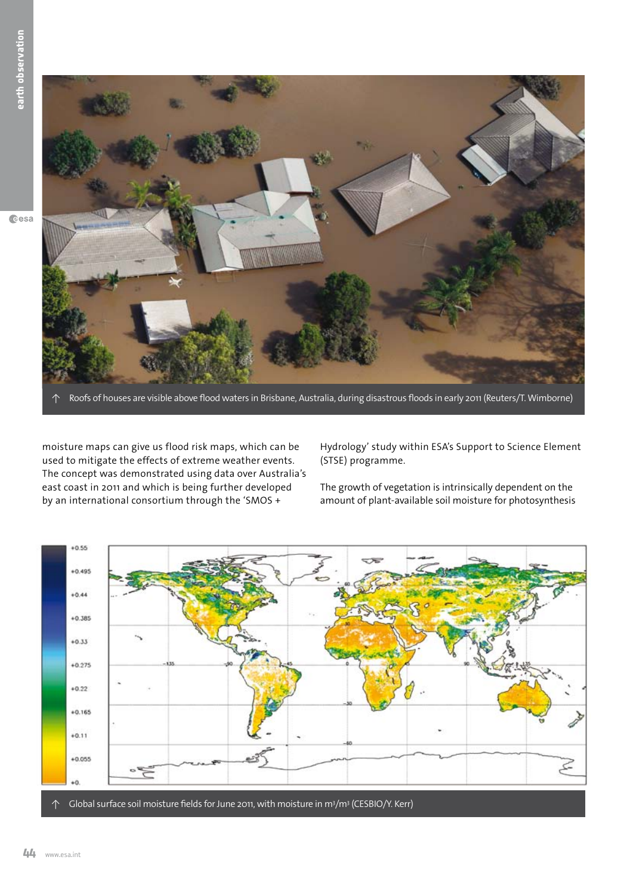

Roofs of houses are visible above flood waters in Brisbane, Australia, during disastrous floods in early 2011 (Reuters/T. Wimborne)

moisture maps can give us flood risk maps, which can be used to mitigate the effects of extreme weather events. The concept was demonstrated using data over Australia's east coast in 2011 and which is being further developed by an international consortium through the 'SMOS +

Hydrology' study within ESA's Support to Science Element (STSE) programme.

The growth of vegetation is intrinsically dependent on the amount of plant-available soil moisture for photosynthesis

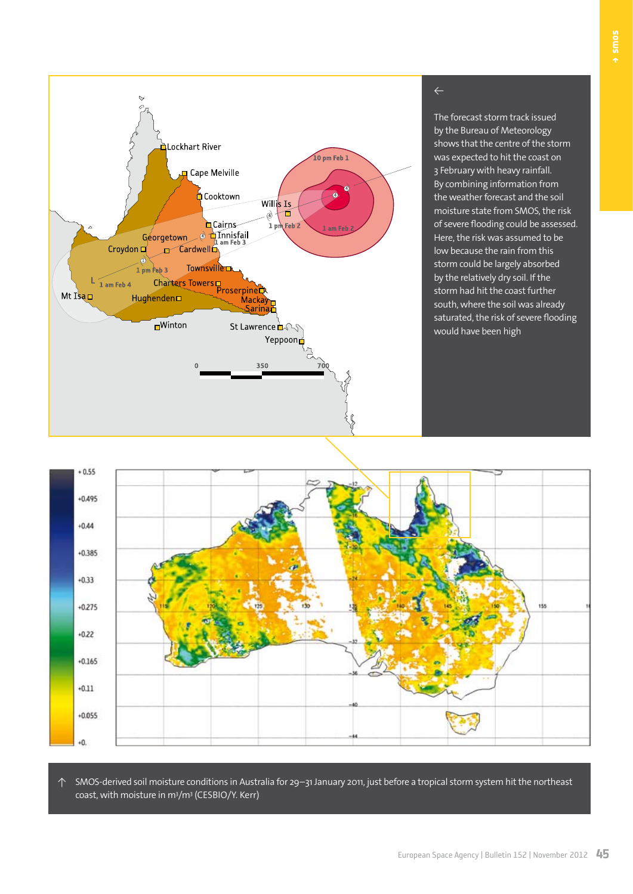

The forecast storm track issued by the Bureau of Meteorology shows that the centre of the storm was expected to hit the coast on 3 February with heavy rainfall. By combining information from the weather forecast and the soil moisture state from SMOS, the risk of severe flooding could be assessed. Here, the risk was assumed to be low because the rain from this storm could be largely absorbed by the relatively dry soil. If the storm had hit the coast further south, where the soil was already saturated, the risk of severe flooding would have been high



↑ SMOS-derived soil moisture conditions in Australia for 29–31 January 2011, just before a tropical storm system hit the northeast coast, with moisture in m<sup>3</sup>/m<sup>3</sup> (CESBIO/Y. Kerr)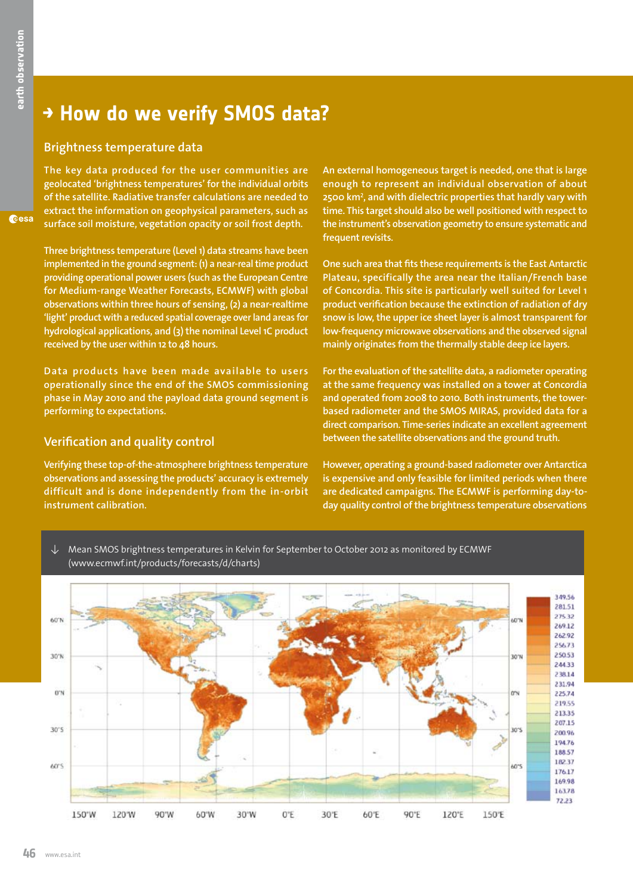Geesa

### **→ How do we verify SMOS data?**

#### **Brightness temperature data**

**The key data produced for the user communities are geolocated 'brightness temperatures' for the individual orbits of the satellite. Radiative transfer calculations are needed to extract the information on geophysical parameters, such as surface soil moisture, vegetation opacity or soil frost depth.** 

**Three brightness temperature (Level 1) data streams have been implemented in the ground segment: (1) a near-real time product providing operational power users (such as the European Centre for Medium-range Weather Forecasts, ECMWF) with global observations within three hours of sensing, (2) a near-realtime 'light' product with a reduced spatial coverage over land areas for hydrological applications, and (3) the nominal Level 1C product received by the user within 12 to 48 hours.** 

**Data products have been made available to users operationally since the end of the SMOS commissioning phase in May 2010 and the payload data ground segment is performing to expectations.**

#### **Verification and quality control**

**Verifying these top-of-the-atmosphere brightness temperature observations and assessing the products' accuracy is extremely difficult and is done independently from the in-orbit instrument calibration.** 

**An external homogeneous target is needed, one that is large enough to represent an individual observation of about 2500 km2 , and with dielectric properties that hardly vary with time. This target should also be well positioned with respect to the instrument's observation geometry to ensure systematic and frequent revisits.** 

**One such area that fits these requirements is the East Antarctic Plateau, specifically the area near the Italian/French base of Concordia. This site is particularly well suited for Level 1 product verification because the extinction of radiation of dry snow is low, the upper ice sheet layer is almost transparent for low-frequency microwave observations and the observed signal mainly originates from the thermally stable deep ice layers.** 

**For the evaluation of the satellite data, a radiometer operating at the same frequency was installed on a tower at Concordia and operated from 2008 to 2010. Both instruments, the towerbased radiometer and the SMOS MIRAS, provided data for a direct comparison. Time-series indicate an excellent agreement between the satellite observations and the ground truth.**

**However, operating a ground-based radiometer over Antarctica is expensive and only feasible for limited periods when there are dedicated campaigns. The ECMWF is performing day-today quality control of the brightness temperature observations** 

↓ Mean SMOS brightness temperatures in Kelvin for September to October 2012 as monitored by ECMWF (www.ecmwf.int/products/forecasts/d/charts)

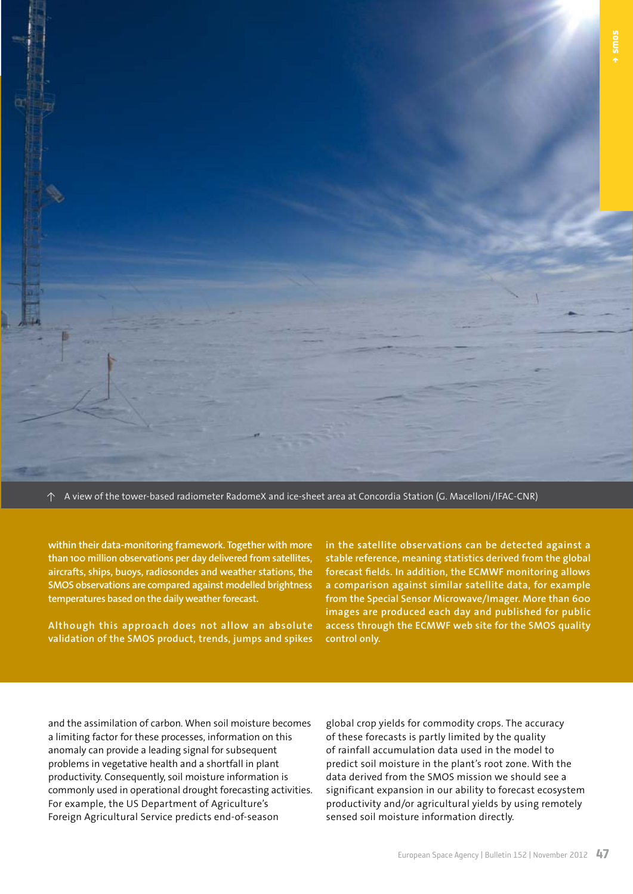↑ A view of the tower-based radiometer RadomeX and ice-sheet area at Concordia Station (G. Macelloni/IFAC-CNR)

**within their data-monitoring framework. Together with more than 100 million observations per day delivered from satellites, aircrafts, ships, buoys, radiosondes and weather stations, the SMOS observations are compared against modelled brightness temperatures based on the daily weather forecast.** 

**Although this approach does not allow an absolute validation of the SMOS product, trends, jumps and spikes** 

**in the satellite observations can be detected against a stable reference, meaning statistics derived from the global forecast fields. In addition, the ECMWF monitoring allows a comparison against similar satellite data, for example from the Special Sensor Microwave/Imager. More than 600 images are produced each day and published for public access through the ECMWF web site for the SMOS quality control only.**

and the assimilation of carbon. When soil moisture becomes a limiting factor for these processes, information on this anomaly can provide a leading signal for subsequent problems in vegetative health and a shortfall in plant productivity. Consequently, soil moisture information is commonly used in operational drought forecasting activities. For example, the US Department of Agriculture's Foreign Agricultural Service predicts end-of-season

global crop yields for commodity crops. The accuracy of these forecasts is partly limited by the quality of rainfall accumulation data used in the model to predict soil moisture in the plant's root zone. With the data derived from the SMOS mission we should see a significant expansion in our ability to forecast ecosystem productivity and/or agricultural yields by using remotely sensed soil moisture information directly.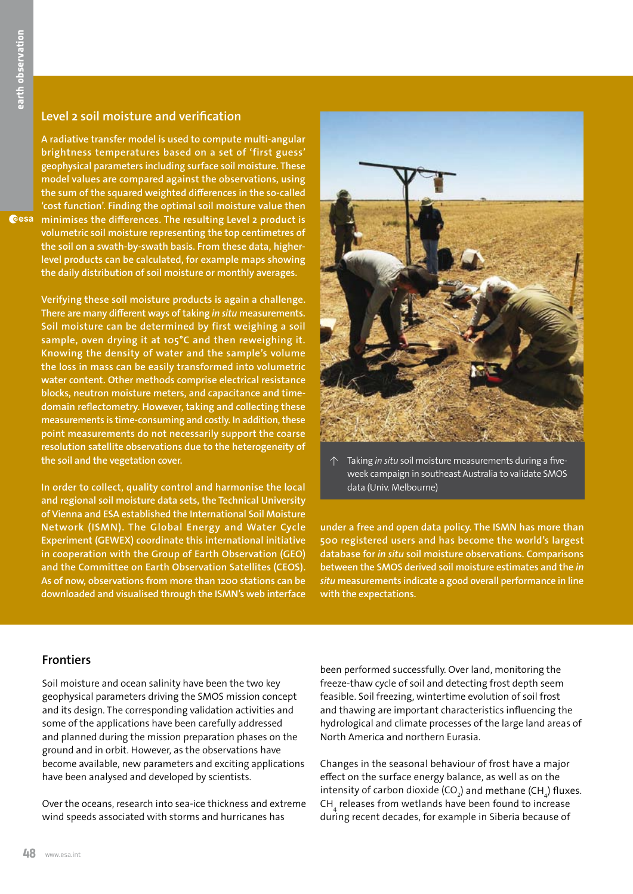#### **Level 2 soil moisture and verification**

**A radiative transfer model is used to compute multi-angular brightness temperatures based on a set of 'first guess' geophysical parameters including surface soil moisture. These model values are compared against the observations, using the sum of the squared weighted differences in the so-called 'cost function'. Finding the optimal soil moisture value then minimises the differences. The resulting Level 2 product is volumetric soil moisture representing the top centimetres of the soil on a swath-by-swath basis. From these data, higherlevel products can be calculated, for example maps showing the daily distribution of soil moisture or monthly averages.**

> **Verifying these soil moisture products is again a challenge. There are many different ways of taking** *in situ* **measurements. Soil moisture can be determined by first weighing a soil sample, oven drying it at 105°C and then reweighing it. Knowing the density of water and the sample's volume the loss in mass can be easily transformed into volumetric water content. Other methods comprise electrical resistance blocks, neutron moisture meters, and capacitance and timedomain reflectometry. However, taking and collecting these measurements is time-consuming and costly. In addition, these point measurements do not necessarily support the coarse resolution satellite observations due to the heterogeneity of the soil and the vegetation cover.**

> **In order to collect, quality control and harmonise the local and regional soil moisture data sets, the Technical University of Vienna and ESA established the International Soil Moisture Network (ISMN). The Global Energy and Water Cycle Experiment (GEWEX) coordinate this international initiative in cooperation with the Group of Earth Observation (GEO) and the Committee on Earth Observation Satellites (CEOS). As of now, observations from more than 1200 stations can be downloaded and visualised through the ISMN's web interface**



↑ Taking *in situ* soil moisture measurements during a fiveweek campaign in southeast Australia to validate SMOS data (Univ. Melbourne)

**under a free and open data policy. The ISMN has more than 500 registered users and has become the world's largest database for** *in situ* **soil moisture observations. Comparisons between the SMOS derived soil moisture estimates and the** *in situ* **measurements indicate a good overall performance in line with the expectations.**

#### **Frontiers**

Soil moisture and ocean salinity have been the two key geophysical parameters driving the SMOS mission concept and its design. The corresponding validation activities and some of the applications have been carefully addressed and planned during the mission preparation phases on the ground and in orbit. However, as the observations have become available, new parameters and exciting applications have been analysed and developed by scientists.

Over the oceans, research into sea-ice thickness and extreme wind speeds associated with storms and hurricanes has

been performed successfully. Over land, monitoring the freeze-thaw cycle of soil and detecting frost depth seem feasible. Soil freezing, wintertime evolution of soil frost and thawing are important characteristics influencing the hydrological and climate processes of the large land areas of North America and northern Eurasia.

Changes in the seasonal behaviour of frost have a major effect on the surface energy balance, as well as on the intensity of carbon dioxide (CO<sub>2</sub>) and methane (CH<sub>4</sub>) fluxes.  $\mathsf{CH}_4^{}$  releases from wetlands have been found to increase during recent decades, for example in Siberia because of